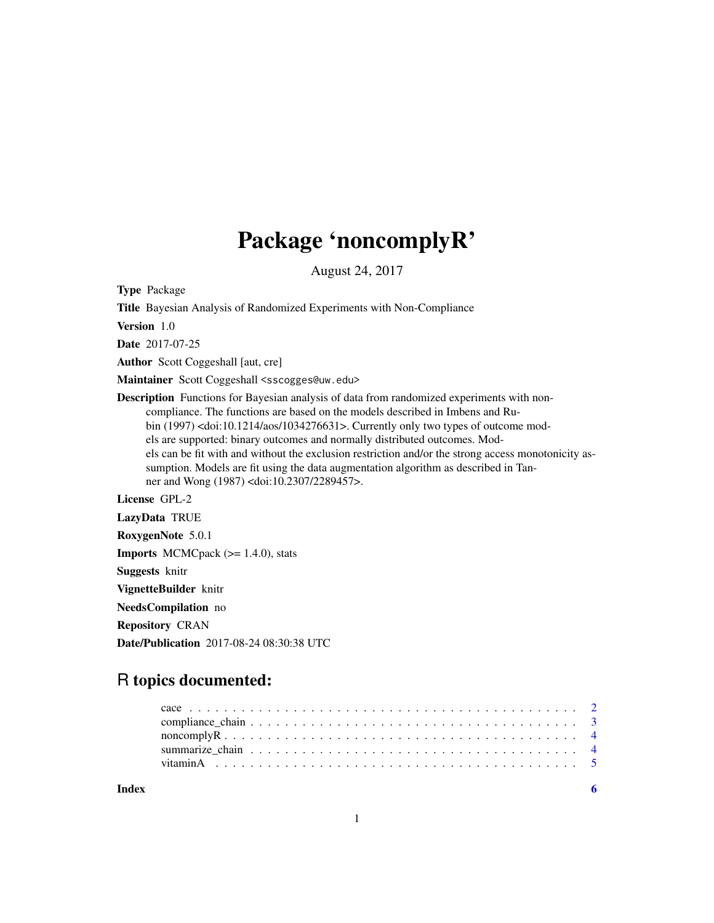## Package 'noncomplyR'

August 24, 2017

Type Package

Title Bayesian Analysis of Randomized Experiments with Non-Compliance

Version 1.0

Date 2017-07-25

Author Scott Coggeshall [aut, cre]

Maintainer Scott Coggeshall <sscogges@uw.edu>

Description Functions for Bayesian analysis of data from randomized experiments with noncompliance. The functions are based on the models described in Imbens and Rubin (1997) <doi:10.1214/aos/1034276631>. Currently only two types of outcome models are supported: binary outcomes and normally distributed outcomes. Models can be fit with and without the exclusion restriction and/or the strong access monotonicity assumption. Models are fit using the data augmentation algorithm as described in Tanner and Wong (1987) <doi:10.2307/2289457>.

License GPL-2

LazyData TRUE RoxygenNote 5.0.1 **Imports** MCMCpack  $(>= 1.4.0)$ , stats Suggests knitr VignetteBuilder knitr NeedsCompilation no Repository CRAN Date/Publication 2017-08-24 08:30:38 UTC

### R topics documented:

| Index |  |  |  |  |  |  |  |  |  |  |  |  |  |  |  |
|-------|--|--|--|--|--|--|--|--|--|--|--|--|--|--|--|
|       |  |  |  |  |  |  |  |  |  |  |  |  |  |  |  |
|       |  |  |  |  |  |  |  |  |  |  |  |  |  |  |  |
|       |  |  |  |  |  |  |  |  |  |  |  |  |  |  |  |
|       |  |  |  |  |  |  |  |  |  |  |  |  |  |  |  |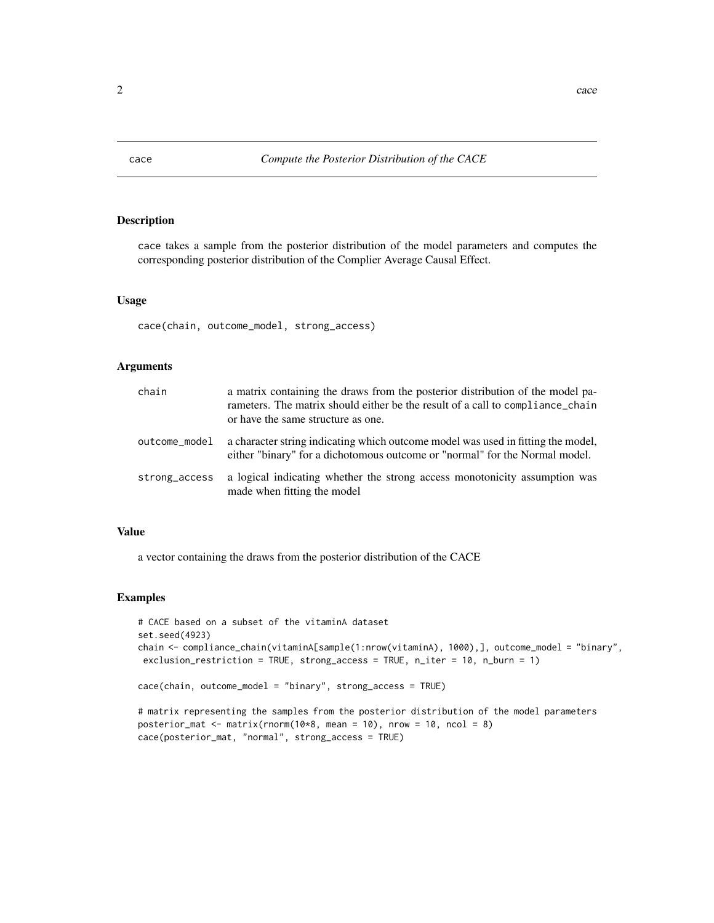<span id="page-1-0"></span>

#### Description

cace takes a sample from the posterior distribution of the model parameters and computes the corresponding posterior distribution of the Complier Average Causal Effect.

#### Usage

cace(chain, outcome\_model, strong\_access)

#### Arguments

| chain         | a matrix containing the draws from the posterior distribution of the model pa-<br>rameters. The matrix should either be the result of a call to compliance chain<br>or have the same structure as one. |
|---------------|--------------------------------------------------------------------------------------------------------------------------------------------------------------------------------------------------------|
| outcome_model | a character string indicating which outcome model was used in fitting the model.<br>either "binary" for a dichotomous outcome or "normal" for the Normal model.                                        |
| strong_access | a logical indicating whether the strong access monotonicity assumption was<br>made when fitting the model                                                                                              |

#### Value

a vector containing the draws from the posterior distribution of the CACE

#### Examples

```
# CACE based on a subset of the vitaminA dataset
set.seed(4923)
chain <- compliance_chain(vitaminA[sample(1:nrow(vitaminA), 1000),], outcome_model = "binary",
exclusion_restriction = TRUE, strong_access = TRUE, n_iter = 10, n_burn = 1)
cace(chain, outcome_model = "binary", strong_access = TRUE)
# matrix representing the samples from the posterior distribution of the model parameters
posterior_mat <- matrix(rnorm(10*8, mean = 10), nrow = 10, ncol = 8)
```

```
cace(posterior_mat, "normal", strong_access = TRUE)
```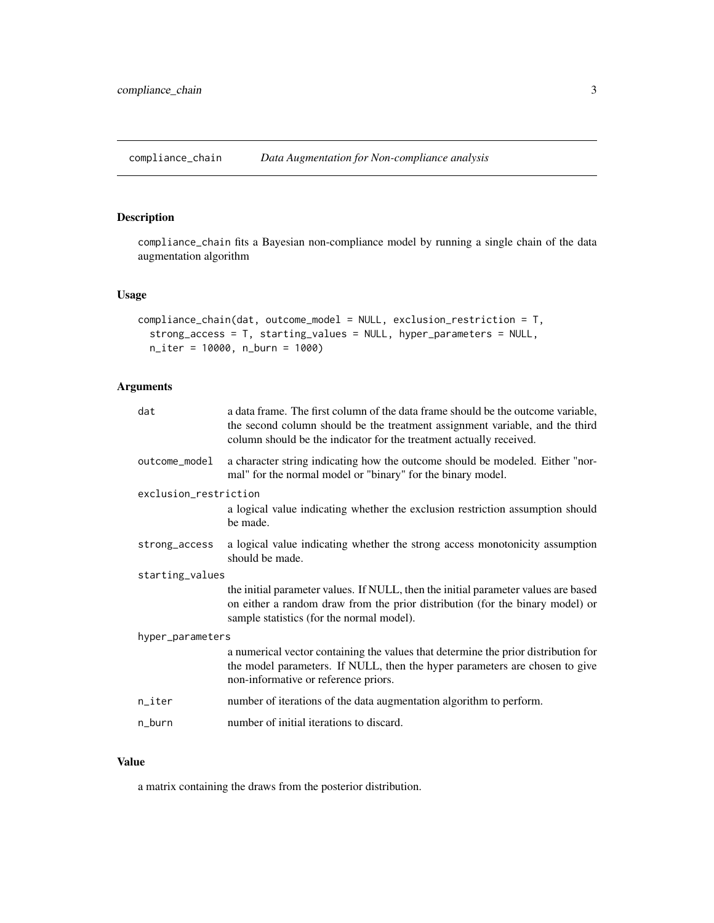<span id="page-2-0"></span>compliance\_chain *Data Augmentation for Non-compliance analysis*

#### Description

compliance\_chain fits a Bayesian non-compliance model by running a single chain of the data augmentation algorithm

#### Usage

```
compliance_chain(dat, outcome_model = NULL, exclusion_restriction = T,
  strong_access = T, starting_values = NULL, hyper_parameters = NULL,
 n_iter = 10000, n_burn = 1000)
```
#### Arguments

| dat                   | a data frame. The first column of the data frame should be the outcome variable,<br>the second column should be the treatment assignment variable, and the third<br>column should be the indicator for the treatment actually received. |  |  |  |  |  |
|-----------------------|-----------------------------------------------------------------------------------------------------------------------------------------------------------------------------------------------------------------------------------------|--|--|--|--|--|
| outcome_model         | a character string indicating how the outcome should be modeled. Either "nor-<br>mal" for the normal model or "binary" for the binary model.                                                                                            |  |  |  |  |  |
| exclusion_restriction |                                                                                                                                                                                                                                         |  |  |  |  |  |
|                       | a logical value indicating whether the exclusion restriction assumption should<br>be made.                                                                                                                                              |  |  |  |  |  |
| strong_access         | a logical value indicating whether the strong access monotonicity assumption<br>should be made.                                                                                                                                         |  |  |  |  |  |
| starting_values       |                                                                                                                                                                                                                                         |  |  |  |  |  |
|                       | the initial parameter values. If NULL, then the initial parameter values are based<br>on either a random draw from the prior distribution (for the binary model) or<br>sample statistics (for the normal model).                        |  |  |  |  |  |
| hyper_parameters      |                                                                                                                                                                                                                                         |  |  |  |  |  |
|                       | a numerical vector containing the values that determine the prior distribution for<br>the model parameters. If NULL, then the hyper parameters are chosen to give<br>non-informative or reference priors.                               |  |  |  |  |  |
| n_iter                | number of iterations of the data augmentation algorithm to perform.                                                                                                                                                                     |  |  |  |  |  |
| n_burn                | number of initial iterations to discard.                                                                                                                                                                                                |  |  |  |  |  |

#### Value

a matrix containing the draws from the posterior distribution.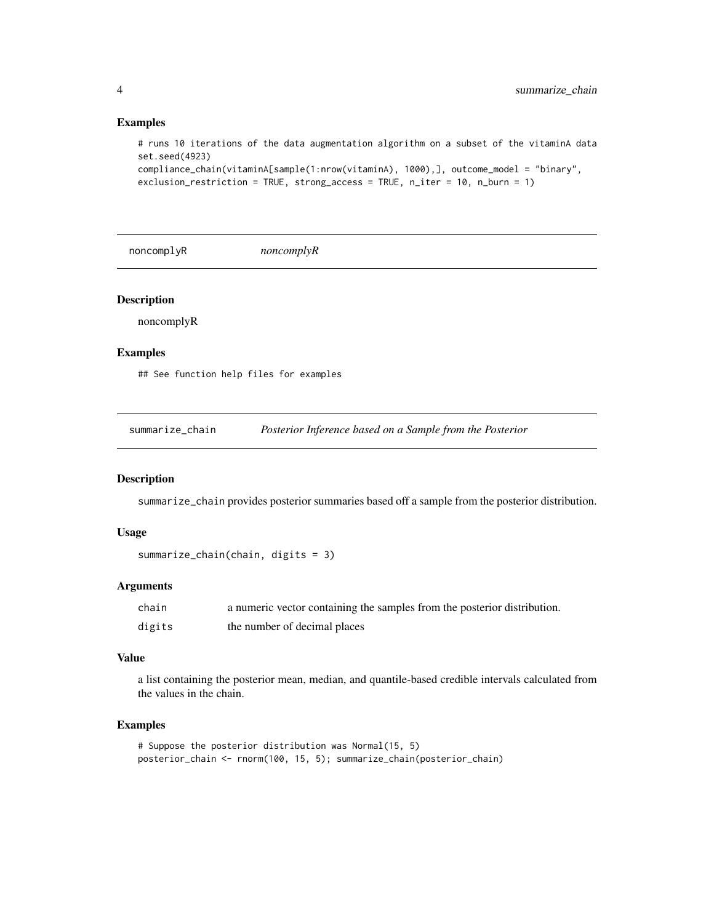#### Examples

```
# runs 10 iterations of the data augmentation algorithm on a subset of the vitaminA data
set.seed(4923)
compliance_chain(vitaminA[sample(1:nrow(vitaminA), 1000),], outcome_model = "binary",
exclusion_restriction = TRUE, strong_access = TRUE, n_iter = 10, n_burn = 1)
```

```
noncomplyR noncomplyR
```
#### Description

noncomplyR

#### Examples

## See function help files for examples

summarize\_chain *Posterior Inference based on a Sample from the Posterior*

#### Description

summarize\_chain provides posterior summaries based off a sample from the posterior distribution.

#### Usage

```
summarize_chain(chain, digits = 3)
```
#### Arguments

| chain  | a numeric vector containing the samples from the posterior distribution. |
|--------|--------------------------------------------------------------------------|
| digits | the number of decimal places                                             |

#### Value

a list containing the posterior mean, median, and quantile-based credible intervals calculated from the values in the chain.

#### Examples

```
# Suppose the posterior distribution was Normal(15, 5)
posterior_chain <- rnorm(100, 15, 5); summarize_chain(posterior_chain)
```
<span id="page-3-0"></span>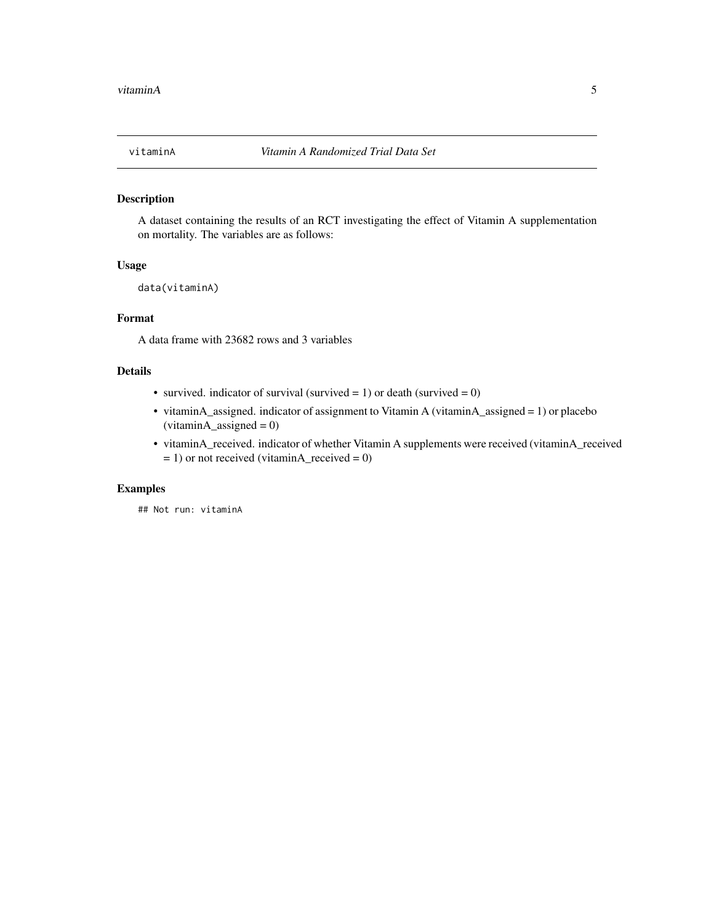<span id="page-4-0"></span>

#### Description

A dataset containing the results of an RCT investigating the effect of Vitamin A supplementation on mortality. The variables are as follows:

#### Usage

data(vitaminA)

#### Format

A data frame with 23682 rows and 3 variables

#### Details

- survived. indicator of survival (survived = 1) or death (survived = 0)
- vitaminA\_assigned. indicator of assignment to Vitamin A (vitaminA\_assigned = 1) or placebo  $(vitamin A_assigned = 0)$
- vitaminA\_received. indicator of whether Vitamin A supplements were received (vitaminA\_received  $= 1$ ) or not received (vitaminA\_received = 0)

#### Examples

## Not run: vitaminA